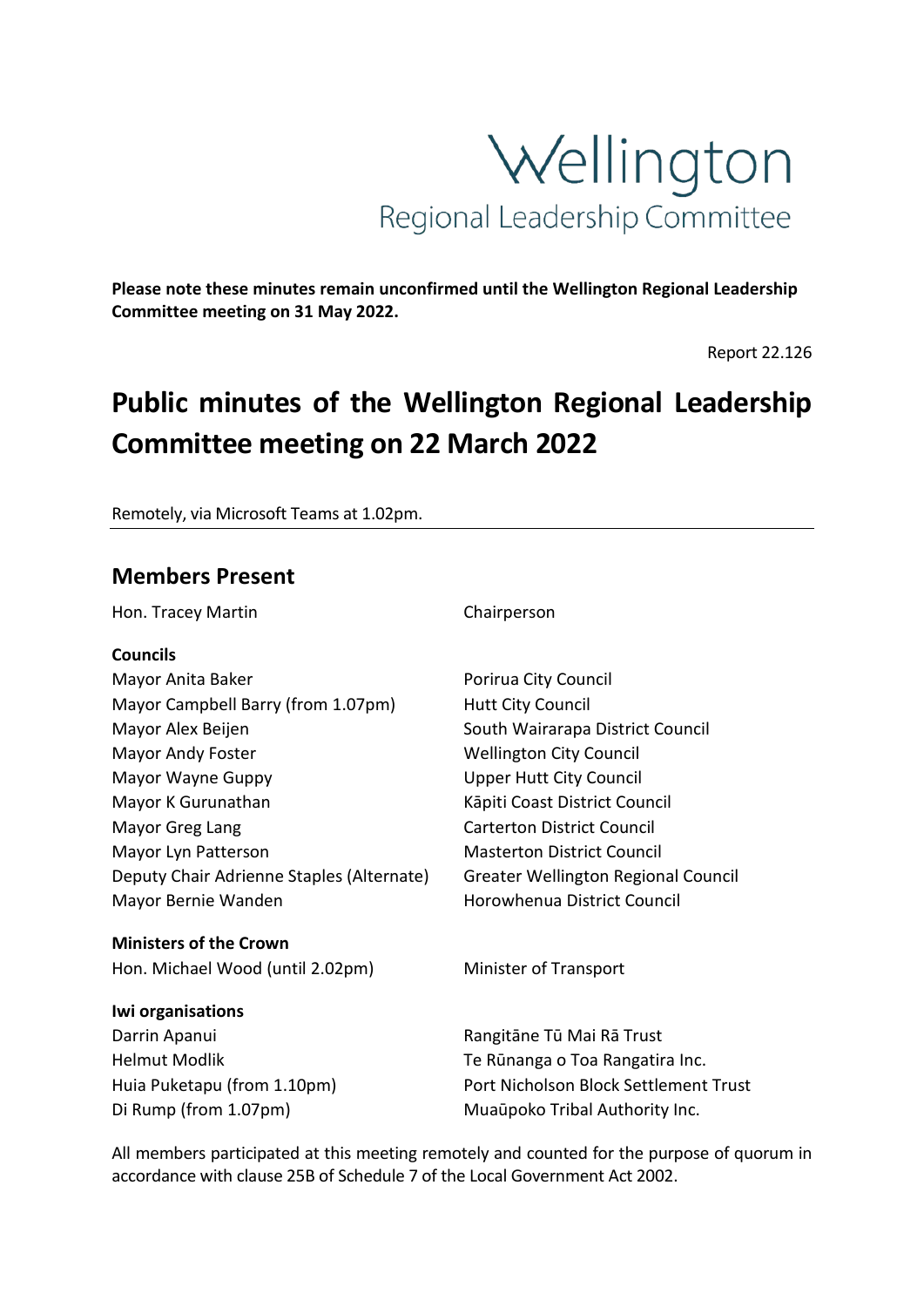

**Please note these minutes remain unconfirmed until the Wellington Regional Leadership Committee meeting on 31 May 2022.**

Report 22.126

# **Public minutes of the Wellington Regional Leadership Committee meeting on 22 March 2022**

Remotely, via Microsoft Teams at 1.02pm.

# **Members Present**

Hon. Tracey Martin **Chairperson** 

#### **Councils**

Mayor Anita Baker **Poricis** Porirua City Council Mayor Campbell Barry (from 1.07pm) Hutt City Council Mayor Alex Beijen South Wairarapa District Council Mayor Andy Foster Mayor Andy Foster Mellington City Council Mayor Wayne Guppy **National Council** Upper Hutt City Council Mayor K Gurunathan Mayor K Gurunathan Kāpiti Coast District Council Mayor Greg Lang Carterton District Council Mayor Lyn Patterson Masterton District Council Deputy Chair Adrienne Staples (Alternate) Greater Wellington Regional Council Mayor Bernie Wanden **Horowhenua District Council** 

#### **Ministers of the Crown** Hon. Michael Wood (until 2.02pm) Minister of Transport

#### **Iwi organisations**

Darrin Apanui **Nangitāne Tū Mai Rā Trust** 

Helmut Modlik Te Rūnanga o Toa Rangatira Inc. Huia Puketapu (from 1.10pm) Port Nicholson Block Settlement Trust Di Rump (from 1.07pm) Muaūpoko Tribal Authority Inc.

All members participated at this meeting remotely and counted for the purpose of quorum in accordance with clause 25B of Schedule 7 of the Local Government Act 2002.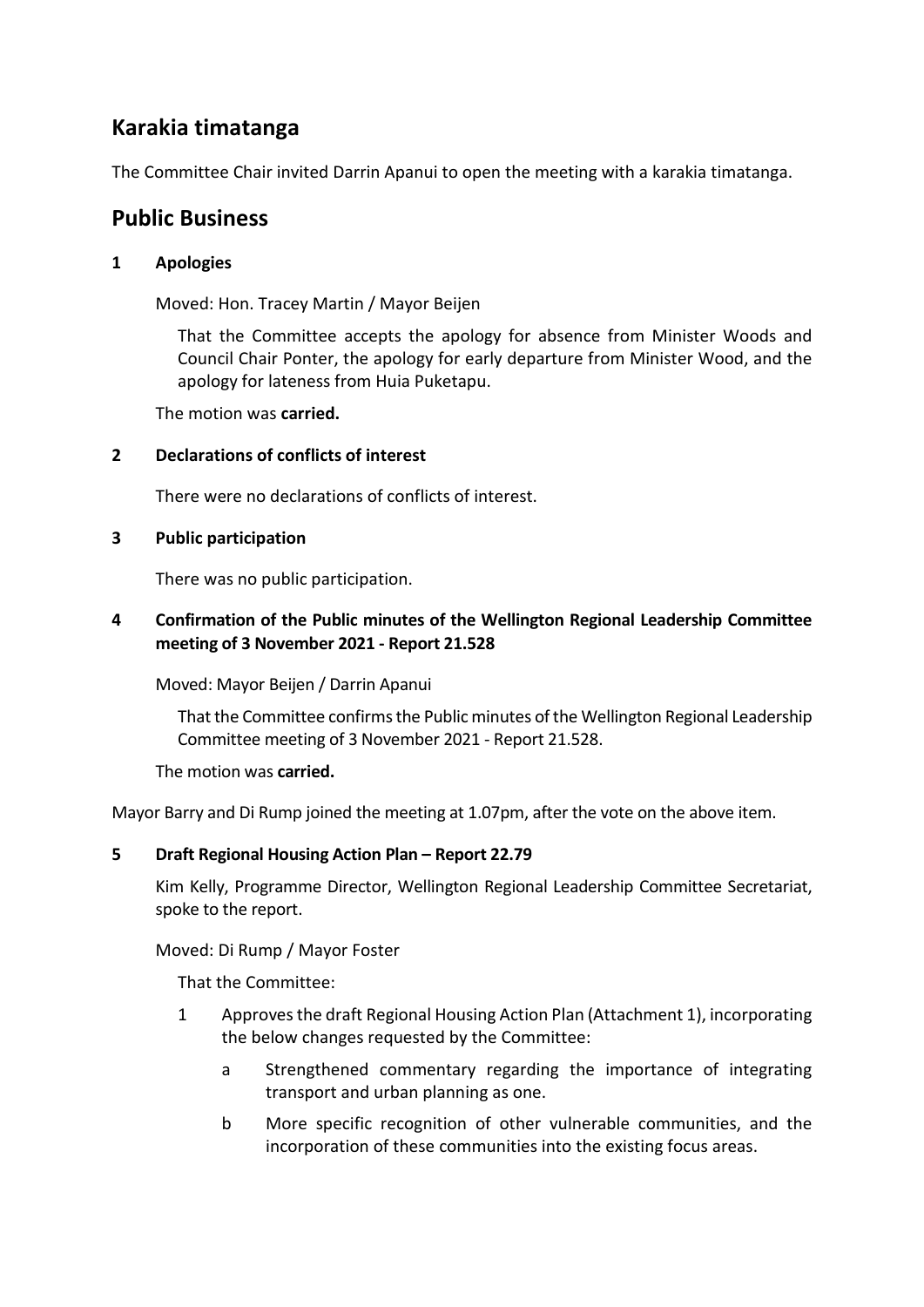# **Karakia timatanga**

The Committee Chair invited Darrin Apanui to open the meeting with a karakia timatanga.

# **Public Business**

#### **1 Apologies**

Moved: Hon. Tracey Martin / Mayor Beijen

That the Committee accepts the apology for absence from Minister Woods and Council Chair Ponter, the apology for early departure from Minister Wood, and the apology for lateness from Huia Puketapu.

The motion was **carried.**

#### **2 Declarations of conflicts of interest**

There were no declarations of conflicts of interest.

#### **3 Public participation**

There was no public participation.

### **4 Confirmation of the Public minutes of the Wellington Regional Leadership Committee meeting of 3 November 2021 - Report 21.528**

Moved: Mayor Beijen / Darrin Apanui

That the Committee confirms the Public minutes of the Wellington Regional Leadership Committee meeting of 3 November 2021 - Report 21.528.

#### The motion was **carried.**

Mayor Barry and Di Rump joined the meeting at 1.07pm, after the vote on the above item.

#### **5 Draft Regional Housing Action Plan – Report 22.79**

Kim Kelly, Programme Director, Wellington Regional Leadership Committee Secretariat, spoke to the report.

Moved: Di Rump / Mayor Foster

That the Committee:

- 1 Approves the draft Regional Housing Action Plan (Attachment 1), incorporating the below changes requested by the Committee:
	- a Strengthened commentary regarding the importance of integrating transport and urban planning as one.
	- b More specific recognition of other vulnerable communities, and the incorporation of these communities into the existing focus areas.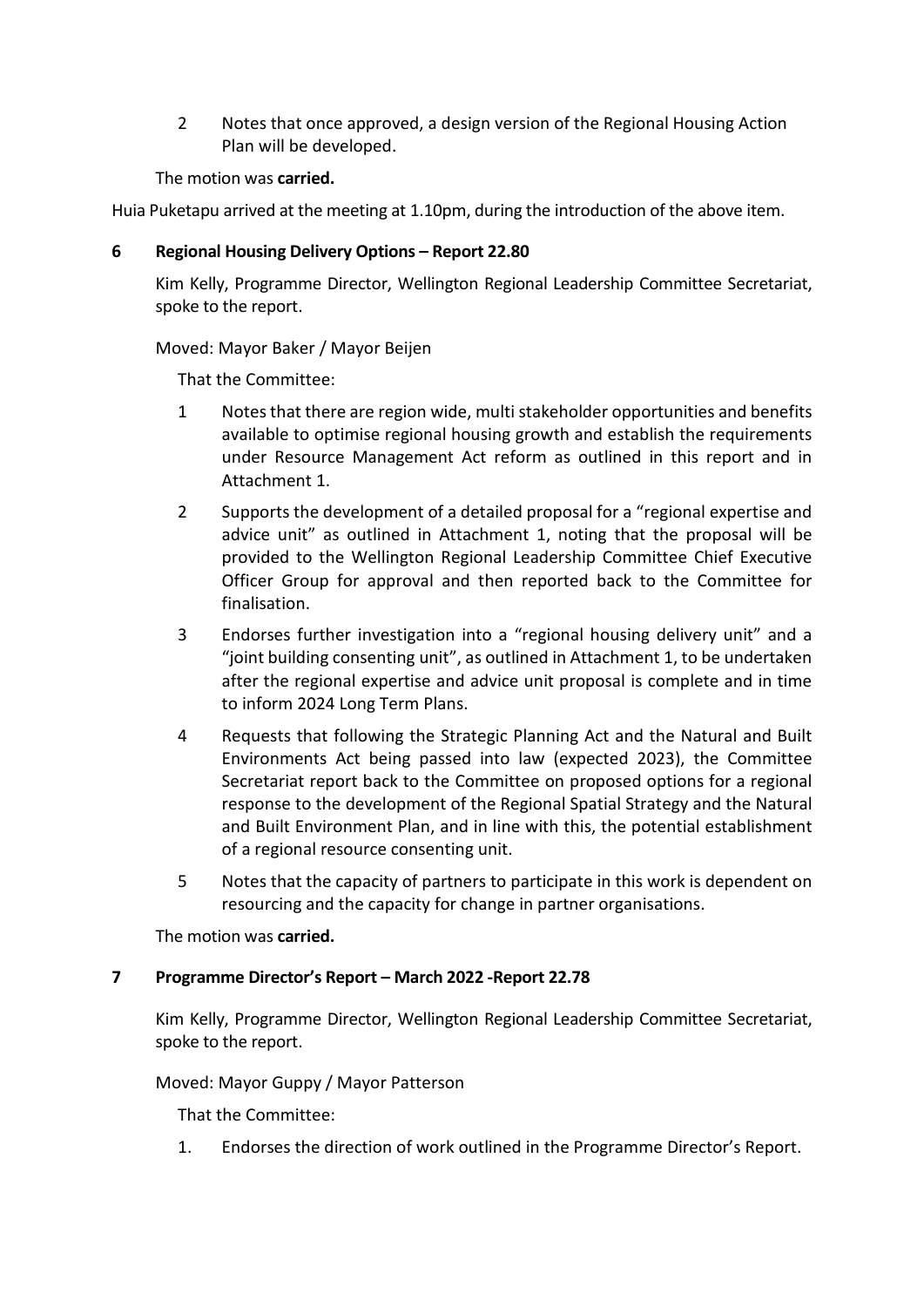2 Notes that once approved, a design version of the Regional Housing Action Plan will be developed.

#### The motion was **carried.**

Huia Puketapu arrived at the meeting at 1.10pm, during the introduction of the above item.

#### **6 Regional Housing Delivery Options – Report 22.80**

Kim Kelly, Programme Director, Wellington Regional Leadership Committee Secretariat, spoke to the report.

#### Moved: Mayor Baker / Mayor Beijen

That the Committee:

- 1 Notes that there are region wide, multi stakeholder opportunities and benefits available to optimise regional housing growth and establish the requirements under Resource Management Act reform as outlined in this report and in Attachment 1.
- 2 Supports the development of a detailed proposal for a "regional expertise and advice unit" as outlined in Attachment 1, noting that the proposal will be provided to the Wellington Regional Leadership Committee Chief Executive Officer Group for approval and then reported back to the Committee for finalisation.
- 3 Endorses further investigation into a "regional housing delivery unit" and a "joint building consenting unit", as outlined in Attachment 1, to be undertaken after the regional expertise and advice unit proposal is complete and in time to inform 2024 Long Term Plans.
- 4 Requests that following the Strategic Planning Act and the Natural and Built Environments Act being passed into law (expected 2023), the Committee Secretariat report back to the Committee on proposed options for a regional response to the development of the Regional Spatial Strategy and the Natural and Built Environment Plan, and in line with this, the potential establishment of a regional resource consenting unit.
- 5 Notes that the capacity of partners to participate in this work is dependent on resourcing and the capacity for change in partner organisations.

The motion was **carried.**

#### **7 Programme Director's Report – March 2022 -Report 22.78**

Kim Kelly, Programme Director, Wellington Regional Leadership Committee Secretariat, spoke to the report.

Moved: Mayor Guppy / Mayor Patterson

That the Committee:

1. Endorses the direction of work outlined in the Programme Director's Report.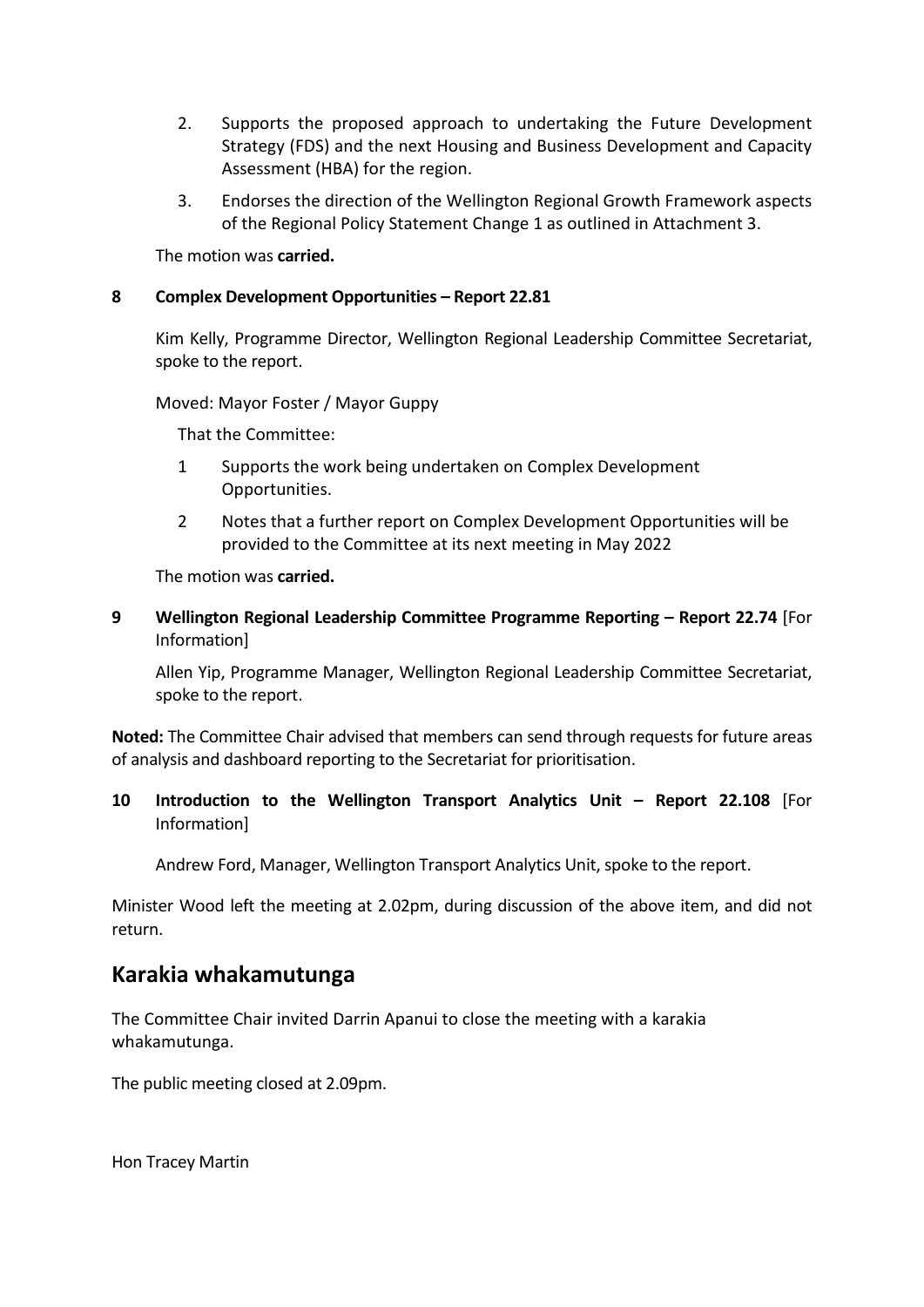- 2. Supports the proposed approach to undertaking the Future Development Strategy (FDS) and the next Housing and Business Development and Capacity Assessment (HBA) for the region.
- 3. Endorses the direction of the Wellington Regional Growth Framework aspects of the Regional Policy Statement Change 1 as outlined in Attachment 3.

The motion was **carried.**

#### **8 Complex Development Opportunities – Report 22.81**

Kim Kelly, Programme Director, Wellington Regional Leadership Committee Secretariat, spoke to the report.

Moved: Mayor Foster / Mayor Guppy

That the Committee:

- 1 Supports the work being undertaken on Complex Development Opportunities.
- 2 Notes that a further report on Complex Development Opportunities will be provided to the Committee at its next meeting in May 2022

The motion was **carried.**

**9 Wellington Regional Leadership Committee Programme Reporting – Report 22.74** [For Information]

Allen Yip, Programme Manager, Wellington Regional Leadership Committee Secretariat, spoke to the report.

**Noted:** The Committee Chair advised that members can send through requests for future areas of analysis and dashboard reporting to the Secretariat for prioritisation.

#### **10 Introduction to the Wellington Transport Analytics Unit – Report 22.108** [For Information]

Andrew Ford, Manager, Wellington Transport Analytics Unit, spoke to the report.

Minister Wood left the meeting at 2.02pm, during discussion of the above item, and did not return.

# **Karakia whakamutunga**

The Committee Chair invited Darrin Apanui to close the meeting with a karakia whakamutunga.

The public meeting closed at 2.09pm.

Hon Tracey Martin